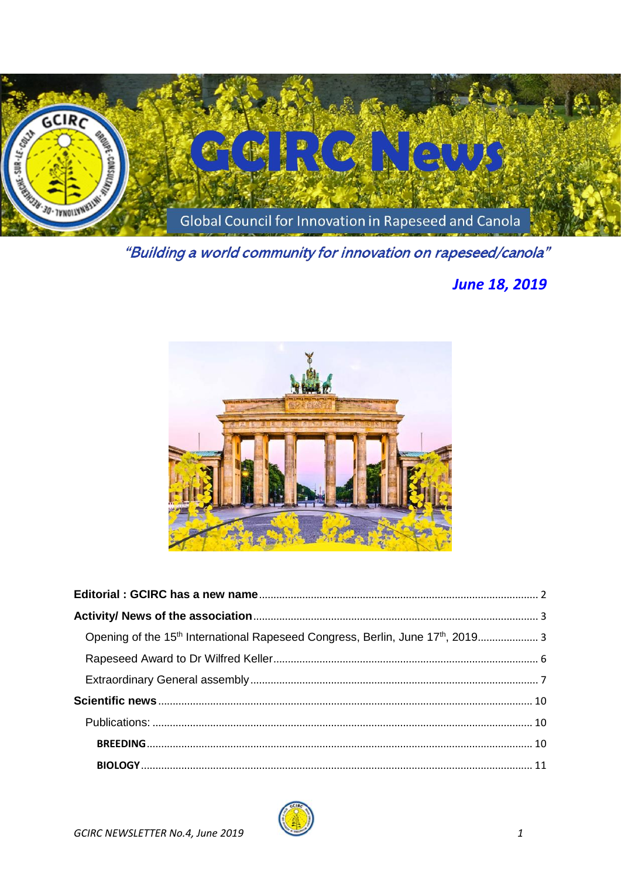

"Building a world community for innovation on rapeseed/canola"

# **June 18, 2019**



| Opening of the 15 <sup>th</sup> International Rapeseed Congress, Berlin, June 17 <sup>th</sup> , 2019 3 |  |
|---------------------------------------------------------------------------------------------------------|--|
|                                                                                                         |  |
|                                                                                                         |  |
|                                                                                                         |  |
|                                                                                                         |  |
|                                                                                                         |  |
|                                                                                                         |  |

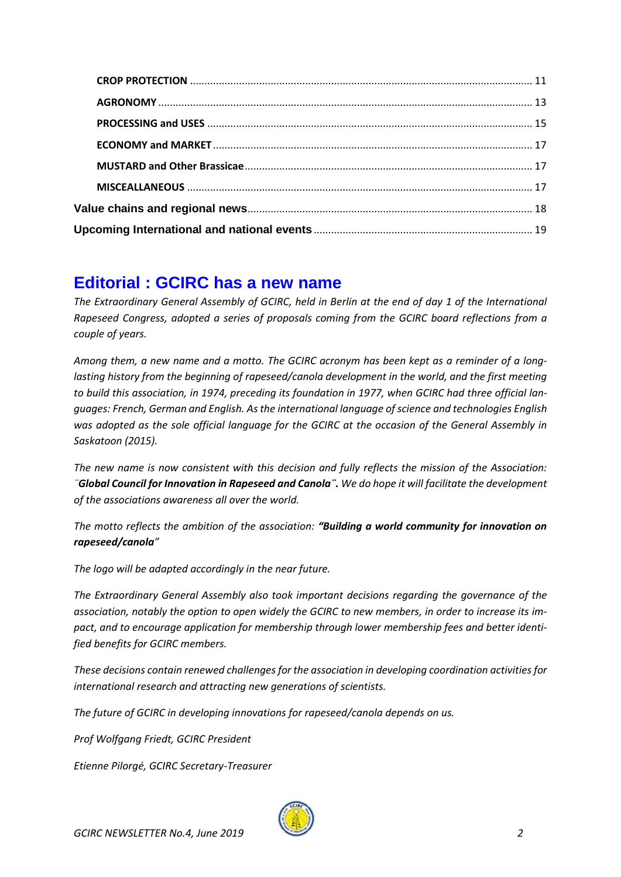# <span id="page-1-0"></span>**Editorial : GCIRC has a new name**

*The Extraordinary General Assembly of GCIRC, held in Berlin at the end of day 1 of the International Rapeseed Congress, adopted a series of proposals coming from the GCIRC board reflections from a couple of years.* 

*Among them, a new name and a motto. The GCIRC acronym has been kept as a reminder of a longlasting history from the beginning of rapeseed/canola development in the world, and the first meeting to build this association, in 1974, preceding its foundation in 1977, when GCIRC had three official languages: French, German and English. Asthe international language of science and technologies English was adopted as the sole official language for the GCIRC at the occasion of the General Assembly in Saskatoon (2015).* 

*The new name is now consistent with this decision and fully reflects the mission of the Association: ¨Global Council for Innovation in Rapeseed and Canola¨. We do hope it will facilitate the development of the associations awareness all over the world.*

*The motto reflects the ambition of the association: "Building a world community for innovation on rapeseed/canola"*

*The logo will be adapted accordingly in the near future.* 

*The Extraordinary General Assembly also took important decisions regarding the governance of the association, notably the option to open widely the GCIRC to new members, in order to increase its impact, and to encourage application for membership through lower membership fees and better identified benefits for GCIRC members.* 

*These decisions contain renewed challenges for the association in developing coordination activities for international research and attracting new generations of scientists.* 

*The future of GCIRC in developing innovations for rapeseed/canola depends on us.* 

*Prof Wolfgang Friedt, GCIRC President*

*Etienne Pilorgé, GCIRC Secretary-Treasurer*

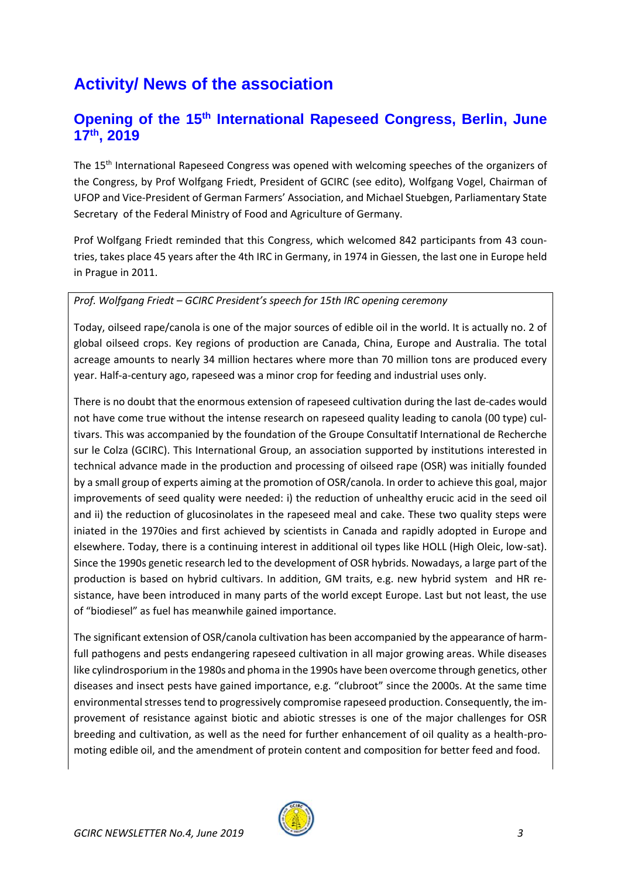# <span id="page-2-0"></span>**Activity/ News of the association**

## <span id="page-2-1"></span>**Opening of the 15th International Rapeseed Congress, Berlin, June 17th , 2019**

The 15<sup>th</sup> International Rapeseed Congress was opened with welcoming speeches of the organizers of the Congress, by Prof Wolfgang Friedt, President of GCIRC (see edito), Wolfgang Vogel, Chairman of UFOP and Vice-President of German Farmers' Association, and Michael Stuebgen, Parliamentary State Secretary of the Federal Ministry of Food and Agriculture of Germany.

Prof Wolfgang Friedt reminded that this Congress, which welcomed 842 participants from 43 countries, takes place 45 years after the 4th IRC in Germany, in 1974 in Giessen, the last one in Europe held in Prague in 2011.

#### *Prof. Wolfgang Friedt – GCIRC President's speech for 15th IRC opening ceremony*

Today, oilseed rape/canola is one of the major sources of edible oil in the world. It is actually no. 2 of global oilseed crops. Key regions of production are Canada, China, Europe and Australia. The total acreage amounts to nearly 34 million hectares where more than 70 million tons are produced every year. Half-a-century ago, rapeseed was a minor crop for feeding and industrial uses only.

There is no doubt that the enormous extension of rapeseed cultivation during the last de-cades would not have come true without the intense research on rapeseed quality leading to canola (00 type) cultivars. This was accompanied by the foundation of the Groupe Consultatif International de Recherche sur le Colza (GCIRC). This International Group, an association supported by institutions interested in technical advance made in the production and processing of oilseed rape (OSR) was initially founded by a small group of experts aiming at the promotion of OSR/canola. In order to achieve this goal, major improvements of seed quality were needed: i) the reduction of unhealthy erucic acid in the seed oil and ii) the reduction of glucosinolates in the rapeseed meal and cake. These two quality steps were iniated in the 1970ies and first achieved by scientists in Canada and rapidly adopted in Europe and elsewhere. Today, there is a continuing interest in additional oil types like HOLL (High Oleic, low-sat). Since the 1990s genetic research led to the development of OSR hybrids. Nowadays, a large part of the production is based on hybrid cultivars. In addition, GM traits, e.g. new hybrid system and HR resistance, have been introduced in many parts of the world except Europe. Last but not least, the use of "biodiesel" as fuel has meanwhile gained importance.

The significant extension of OSR/canola cultivation has been accompanied by the appearance of harmfull pathogens and pests endangering rapeseed cultivation in all major growing areas. While diseases like cylindrosporium in the 1980s and phoma in the 1990s have been overcome through genetics, other diseases and insect pests have gained importance, e.g. "clubroot" since the 2000s. At the same time environmental stresses tend to progressively compromise rapeseed production. Consequently, the improvement of resistance against biotic and abiotic stresses is one of the major challenges for OSR breeding and cultivation, as well as the need for further enhancement of oil quality as a health-promoting edible oil, and the amendment of protein content and composition for better feed and food.

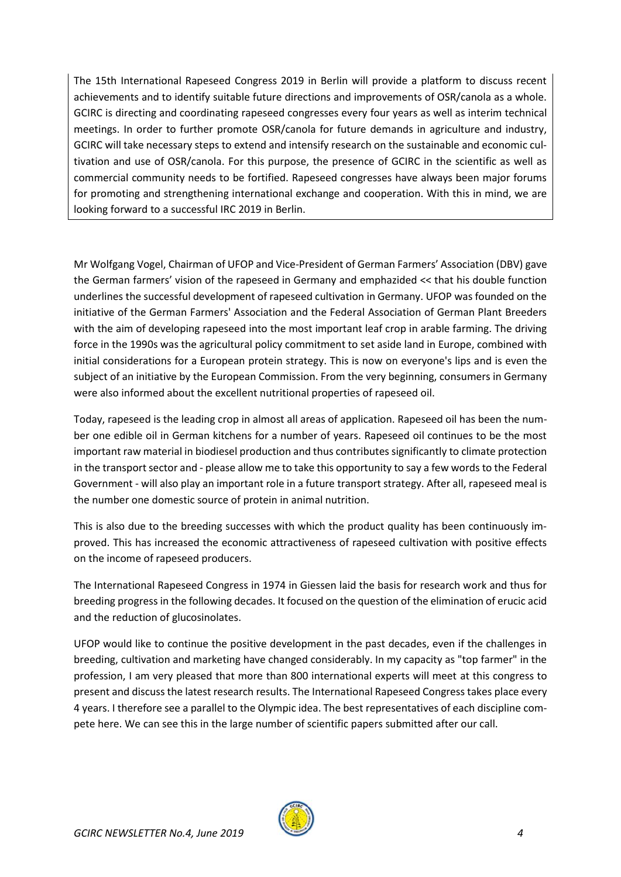The 15th International Rapeseed Congress 2019 in Berlin will provide a platform to discuss recent achievements and to identify suitable future directions and improvements of OSR/canola as a whole. GCIRC is directing and coordinating rapeseed congresses every four years as well as interim technical meetings. In order to further promote OSR/canola for future demands in agriculture and industry, GCIRC will take necessary steps to extend and intensify research on the sustainable and economic cultivation and use of OSR/canola. For this purpose, the presence of GCIRC in the scientific as well as commercial community needs to be fortified. Rapeseed congresses have always been major forums for promoting and strengthening international exchange and cooperation. With this in mind, we are looking forward to a successful IRC 2019 in Berlin.

Mr Wolfgang Vogel, Chairman of UFOP and Vice-President of German Farmers' Association (DBV) gave the German farmers' vision of the rapeseed in Germany and emphazided << that his double function underlines the successful development of rapeseed cultivation in Germany. UFOP was founded on the initiative of the German Farmers' Association and the Federal Association of German Plant Breeders with the aim of developing rapeseed into the most important leaf crop in arable farming. The driving force in the 1990s was the agricultural policy commitment to set aside land in Europe, combined with initial considerations for a European protein strategy. This is now on everyone's lips and is even the subject of an initiative by the European Commission. From the very beginning, consumers in Germany were also informed about the excellent nutritional properties of rapeseed oil.

Today, rapeseed is the leading crop in almost all areas of application. Rapeseed oil has been the number one edible oil in German kitchens for a number of years. Rapeseed oil continues to be the most important raw material in biodiesel production and thus contributes significantly to climate protection in the transport sector and - please allow me to take this opportunity to say a few words to the Federal Government - will also play an important role in a future transport strategy. After all, rapeseed meal is the number one domestic source of protein in animal nutrition.

This is also due to the breeding successes with which the product quality has been continuously improved. This has increased the economic attractiveness of rapeseed cultivation with positive effects on the income of rapeseed producers.

The International Rapeseed Congress in 1974 in Giessen laid the basis for research work and thus for breeding progress in the following decades. It focused on the question of the elimination of erucic acid and the reduction of glucosinolates.

UFOP would like to continue the positive development in the past decades, even if the challenges in breeding, cultivation and marketing have changed considerably. In my capacity as "top farmer" in the profession, I am very pleased that more than 800 international experts will meet at this congress to present and discuss the latest research results. The International Rapeseed Congress takes place every 4 years. I therefore see a parallel to the Olympic idea. The best representatives of each discipline compete here. We can see this in the large number of scientific papers submitted after our call.

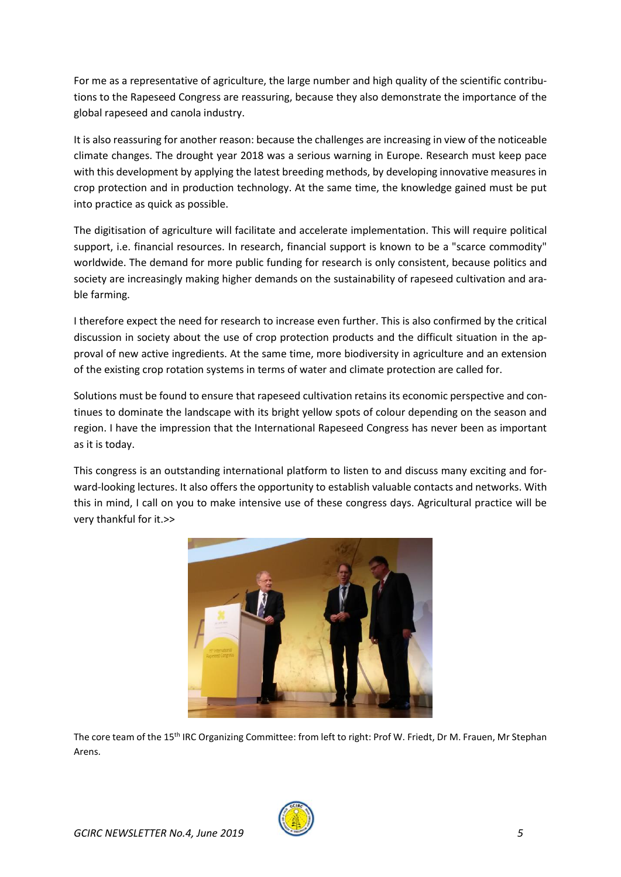For me as a representative of agriculture, the large number and high quality of the scientific contributions to the Rapeseed Congress are reassuring, because they also demonstrate the importance of the global rapeseed and canola industry.

It is also reassuring for another reason: because the challenges are increasing in view of the noticeable climate changes. The drought year 2018 was a serious warning in Europe. Research must keep pace with this development by applying the latest breeding methods, by developing innovative measures in crop protection and in production technology. At the same time, the knowledge gained must be put into practice as quick as possible.

The digitisation of agriculture will facilitate and accelerate implementation. This will require political support, i.e. financial resources. In research, financial support is known to be a "scarce commodity" worldwide. The demand for more public funding for research is only consistent, because politics and society are increasingly making higher demands on the sustainability of rapeseed cultivation and arable farming.

I therefore expect the need for research to increase even further. This is also confirmed by the critical discussion in society about the use of crop protection products and the difficult situation in the approval of new active ingredients. At the same time, more biodiversity in agriculture and an extension of the existing crop rotation systems in terms of water and climate protection are called for.

Solutions must be found to ensure that rapeseed cultivation retains its economic perspective and continues to dominate the landscape with its bright yellow spots of colour depending on the season and region. I have the impression that the International Rapeseed Congress has never been as important as it is today.

This congress is an outstanding international platform to listen to and discuss many exciting and forward-looking lectures. It also offers the opportunity to establish valuable contacts and networks. With this in mind, I call on you to make intensive use of these congress days. Agricultural practice will be very thankful for it.>>



The core team of the 15th IRC Organizing Committee: from left to right: Prof W. Friedt, Dr M. Frauen, Mr Stephan Arens.

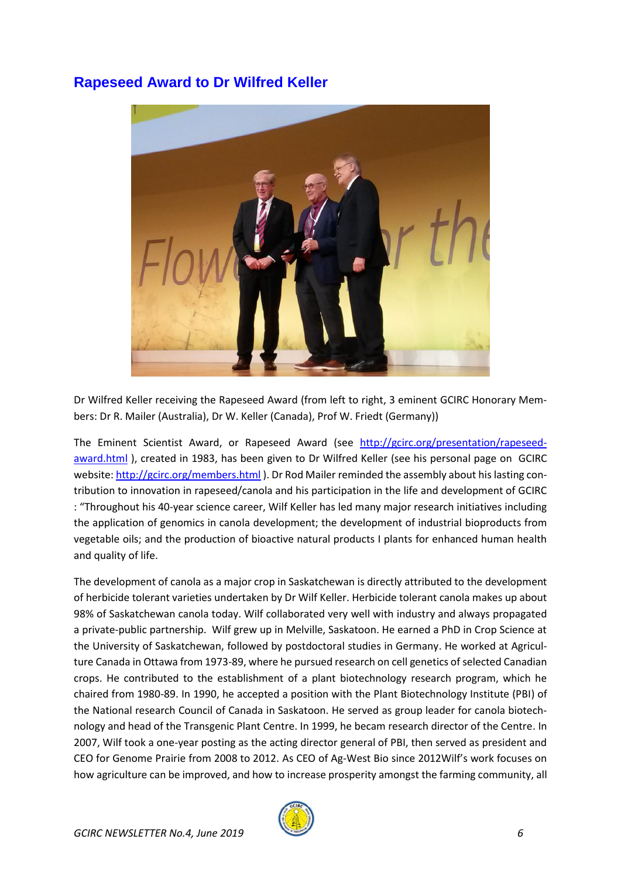## <span id="page-5-0"></span>**Rapeseed Award to Dr Wilfred Keller**



Dr Wilfred Keller receiving the Rapeseed Award (from left to right, 3 eminent GCIRC Honorary Members: Dr R. Mailer (Australia), Dr W. Keller (Canada), Prof W. Friedt (Germany))

The Eminent Scientist Award, or Rapeseed Award (see [http://gcirc.org/presentation/rapeseed](http://gcirc.org/presentation/rapeseed-award.html)[award.html](http://gcirc.org/presentation/rapeseed-award.html) ), created in 1983, has been given to Dr Wilfred Keller (see his personal page on GCIRC website:<http://gcirc.org/members.html> ). Dr Rod Mailer reminded the assembly about his lasting contribution to innovation in rapeseed/canola and his participation in the life and development of GCIRC : "Throughout his 40-year science career, Wilf Keller has led many major research initiatives including the application of genomics in canola development; the development of industrial bioproducts from vegetable oils; and the production of bioactive natural products I plants for enhanced human health and quality of life.

The development of canola as a major crop in Saskatchewan is directly attributed to the development of herbicide tolerant varieties undertaken by Dr Wilf Keller. Herbicide tolerant canola makes up about 98% of Saskatchewan canola today. Wilf collaborated very well with industry and always propagated a private-public partnership. Wilf grew up in Melville, Saskatoon. He earned a PhD in Crop Science at the University of Saskatchewan, followed by postdoctoral studies in Germany. He worked at Agriculture Canada in Ottawa from 1973-89, where he pursued research on cell genetics of selected Canadian crops. He contributed to the establishment of a plant biotechnology research program, which he chaired from 1980-89. In 1990, he accepted a position with the Plant Biotechnology Institute (PBI) of the National research Council of Canada in Saskatoon. He served as group leader for canola biotechnology and head of the Transgenic Plant Centre. In 1999, he becam research director of the Centre. In 2007, Wilf took a one-year posting as the acting director general of PBI, then served as president and CEO for Genome Prairie from 2008 to 2012. As CEO of Ag-West Bio since 2012Wilf's work focuses on how agriculture can be improved, and how to increase prosperity amongst the farming community, all

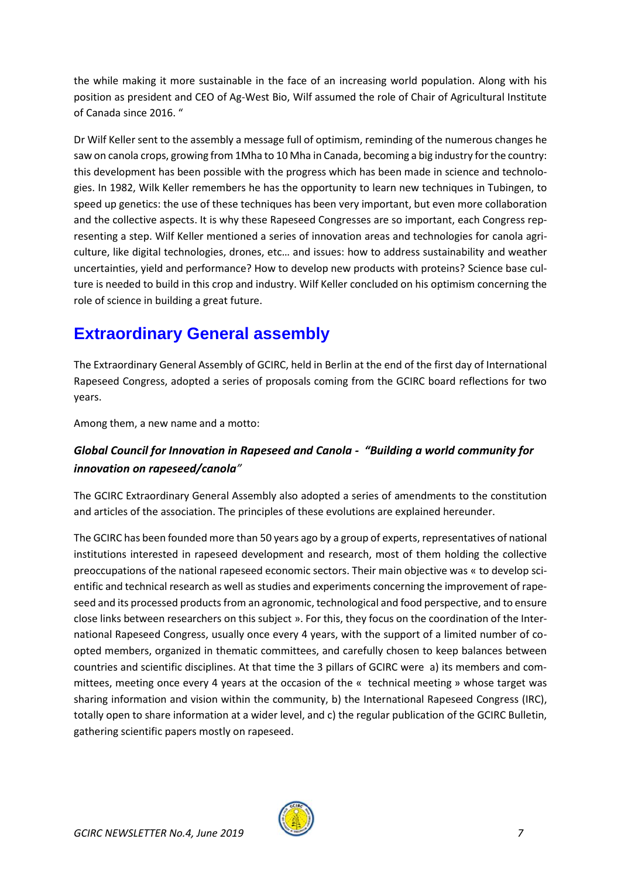the while making it more sustainable in the face of an increasing world population. Along with his position as president and CEO of Ag-West Bio, Wilf assumed the role of Chair of Agricultural Institute of Canada since 2016. "

Dr Wilf Keller sent to the assembly a message full of optimism, reminding of the numerous changes he saw on canola crops, growing from 1Mha to 10 Mha in Canada, becoming a big industry for the country: this development has been possible with the progress which has been made in science and technologies. In 1982, Wilk Keller remembers he has the opportunity to learn new techniques in Tubingen, to speed up genetics: the use of these techniques has been very important, but even more collaboration and the collective aspects. It is why these Rapeseed Congresses are so important, each Congress representing a step. Wilf Keller mentioned a series of innovation areas and technologies for canola agriculture, like digital technologies, drones, etc… and issues: how to address sustainability and weather uncertainties, yield and performance? How to develop new products with proteins? Science base culture is needed to build in this crop and industry. Wilf Keller concluded on his optimism concerning the role of science in building a great future.

# <span id="page-6-0"></span>**Extraordinary General assembly**

The Extraordinary General Assembly of GCIRC, held in Berlin at the end of the first day of International Rapeseed Congress, adopted a series of proposals coming from the GCIRC board reflections for two years.

Among them, a new name and a motto:

### *Global Council for Innovation in Rapeseed and Canola - "Building a world community for innovation on rapeseed/canola"*

The GCIRC Extraordinary General Assembly also adopted a series of amendments to the constitution and articles of the association. The principles of these evolutions are explained hereunder.

The GCIRC has been founded more than 50 years ago by a group of experts, representatives of national institutions interested in rapeseed development and research, most of them holding the collective preoccupations of the national rapeseed economic sectors. Their main objective was « to develop scientific and technical research as well as studies and experiments concerning the improvement of rapeseed and its processed products from an agronomic, technological and food perspective, and to ensure close links between researchers on this subject ». For this, they focus on the coordination of the International Rapeseed Congress, usually once every 4 years, with the support of a limited number of coopted members, organized in thematic committees, and carefully chosen to keep balances between countries and scientific disciplines. At that time the 3 pillars of GCIRC were a) its members and committees, meeting once every 4 years at the occasion of the « technical meeting » whose target was sharing information and vision within the community, b) the International Rapeseed Congress (IRC), totally open to share information at a wider level, and c) the regular publication of the GCIRC Bulletin, gathering scientific papers mostly on rapeseed.

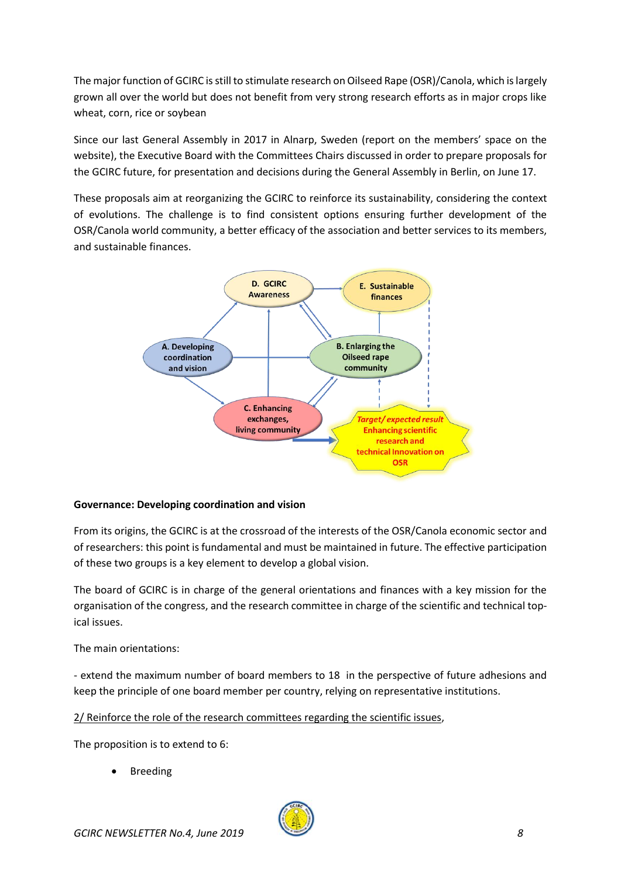The major function of GCIRC is still to stimulate research on Oilseed Rape (OSR)/Canola, which is largely grown all over the world but does not benefit from very strong research efforts as in major crops like wheat, corn, rice or soybean

Since our last General Assembly in 2017 in Alnarp, Sweden (report on the members' space on the website), the Executive Board with the Committees Chairs discussed in order to prepare proposals for the GCIRC future, for presentation and decisions during the General Assembly in Berlin, on June 17.

These proposals aim at reorganizing the GCIRC to reinforce its sustainability, considering the context of evolutions. The challenge is to find consistent options ensuring further development of the OSR/Canola world community, a better efficacy of the association and better services to its members, and sustainable finances.



#### **Governance: Developing coordination and vision**

From its origins, the GCIRC is at the crossroad of the interests of the OSR/Canola economic sector and of researchers: this point is fundamental and must be maintained in future. The effective participation of these two groups is a key element to develop a global vision.

The board of GCIRC is in charge of the general orientations and finances with a key mission for the organisation of the congress, and the research committee in charge of the scientific and technical topical issues.

The main orientations:

- extend the maximum number of board members to 18 in the perspective of future adhesions and keep the principle of one board member per country, relying on representative institutions.

2/ Reinforce the role of the research committees regarding the scientific issues,

The proposition is to extend to 6:

**Breeding** 

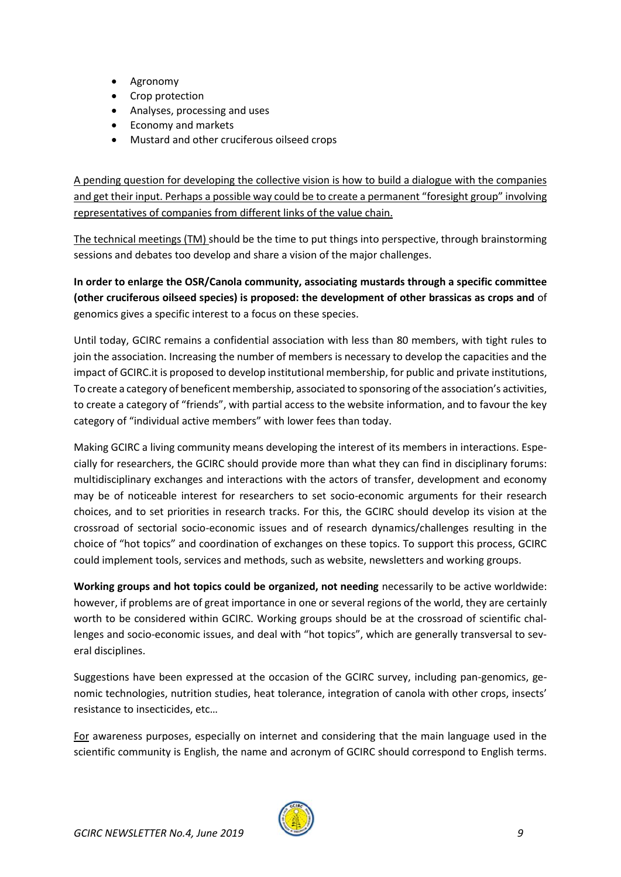- Agronomy
- Crop protection
- Analyses, processing and uses
- Economy and markets
- Mustard and other cruciferous oilseed crops

A pending question for developing the collective vision is how to build a dialogue with the companies and get their input. Perhaps a possible way could be to create a permanent "foresight group" involving representatives of companies from different links of the value chain.

The technical meetings (TM) should be the time to put things into perspective, through brainstorming sessions and debates too develop and share a vision of the major challenges.

**In order to enlarge the OSR/Canola community, associating mustards through a specific committee (other cruciferous oilseed species) is proposed: the development of other brassicas as crops and** of genomics gives a specific interest to a focus on these species.

Until today, GCIRC remains a confidential association with less than 80 members, with tight rules to join the association. Increasing the number of members is necessary to develop the capacities and the impact of GCIRC.it is proposed to develop institutional membership, for public and private institutions, To create a category of beneficent membership, associated to sponsoring of the association's activities, to create a category of "friends", with partial access to the website information, and to favour the key category of "individual active members" with lower fees than today.

Making GCIRC a living community means developing the interest of its members in interactions. Especially for researchers, the GCIRC should provide more than what they can find in disciplinary forums: multidisciplinary exchanges and interactions with the actors of transfer, development and economy may be of noticeable interest for researchers to set socio-economic arguments for their research choices, and to set priorities in research tracks. For this, the GCIRC should develop its vision at the crossroad of sectorial socio-economic issues and of research dynamics/challenges resulting in the choice of "hot topics" and coordination of exchanges on these topics. To support this process, GCIRC could implement tools, services and methods, such as website, newsletters and working groups.

**Working groups and hot topics could be organized, not needing** necessarily to be active worldwide: however, if problems are of great importance in one or several regions of the world, they are certainly worth to be considered within GCIRC. Working groups should be at the crossroad of scientific challenges and socio-economic issues, and deal with "hot topics", which are generally transversal to several disciplines.

Suggestions have been expressed at the occasion of the GCIRC survey, including pan-genomics, genomic technologies, nutrition studies, heat tolerance, integration of canola with other crops, insects' resistance to insecticides, etc…

For awareness purposes, especially on internet and considering that the main language used in the scientific community is English, the name and acronym of GCIRC should correspond to English terms.

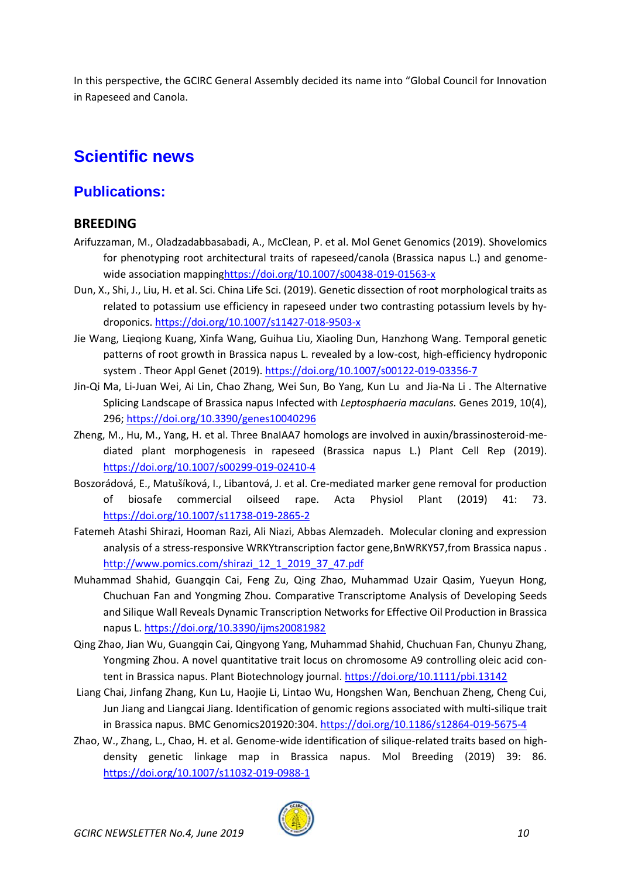In this perspective, the GCIRC General Assembly decided its name into "Global Council for Innovation in Rapeseed and Canola.

# <span id="page-9-0"></span>**Scientific news**

# <span id="page-9-1"></span>**Publications:**

### <span id="page-9-2"></span>**BREEDING**

- Arifuzzaman, M., Oladzadabbasabadi, A., McClean, P. et al. Mol Genet Genomics (2019). Shovelomics for phenotyping root architectural traits of rapeseed/canola (Brassica napus L.) and genomewide association mappin[ghttps://doi.org/10.1007/s00438-019-01563-x](https://doi.org/10.1007/s00438-019-01563-x)
- Dun, X., Shi, J., Liu, H. et al. Sci. China Life Sci. (2019). Genetic dissection of root morphological traits as related to potassium use efficiency in rapeseed under two contrasting potassium levels by hydroponics[. https://doi.org/10.1007/s11427-018-9503-x](https://doi.org/10.1007/s11427-018-9503-x)
- Jie Wang, Lieqiong Kuang, Xinfa Wang, Guihua Liu, Xiaoling Dun, Hanzhong Wang. Temporal genetic patterns of root growth in Brassica napus L. revealed by a low-cost, high-efficiency hydroponic system . Theor Appl Genet (2019).<https://doi.org/10.1007/s00122-019-03356-7>
- Jin-Qi Ma, Li-Juan Wei, Ai Lin, Chao Zhang, Wei Sun, Bo Yang, Kun Lu and Jia-Na Li . The Alternative Splicing Landscape of Brassica napus Infected with *Leptosphaeria maculans.* Genes 2019, 10(4), 296;<https://doi.org/10.3390/genes10040296>
- Zheng, M., Hu, M., Yang, H. et al. Three BnaIAA7 homologs are involved in auxin/brassinosteroid-mediated plant morphogenesis in rapeseed (Brassica napus L.) Plant Cell Rep (2019). <https://doi.org/10.1007/s00299-019-02410-4>
- Boszorádová, E., Matušíková, I., Libantová, J. et al. Cre-mediated marker gene removal for production of biosafe commercial oilseed rape. Acta Physiol Plant (2019) 41: 73. <https://doi.org/10.1007/s11738-019-2865-2>
- Fatemeh Atashi Shirazi, Hooman Razi, Ali Niazi, Abbas Alemzadeh. Molecular cloning and expression analysis of a stress-responsive WRKYtranscription factor gene,BnWRKY57,from Brassica napus . [http://www.pomics.com/shirazi\\_12\\_1\\_2019\\_37\\_47.pdf](http://www.pomics.com/shirazi_12_1_2019_37_47.pdf)
- Muhammad Shahid, Guangqin Cai, Feng Zu, Qing Zhao, Muhammad Uzair Qasim, Yueyun Hong, Chuchuan Fan and Yongming Zhou. Comparative Transcriptome Analysis of Developing Seeds and Silique Wall Reveals Dynamic Transcription Networks for Effective Oil Production in Brassica napus L. <https://doi.org/10.3390/ijms20081982>
- Qing Zhao, Jian Wu, Guangqin Cai, Qingyong Yang, Muhammad Shahid, Chuchuan Fan, Chunyu Zhang, Yongming Zhou. A novel quantitative trait locus on chromosome A9 controlling oleic acid con-tent in Brassica napus. Plant Biotechnology journal[. https://doi.org/10.1111/pbi.13142](https://doi.org/10.1111/pbi.13142)
- Liang Chai, Jinfang Zhang, Kun Lu, Haojie Li, Lintao Wu, Hongshen Wan, Benchuan Zheng, Cheng Cui, Jun Jiang and Liangcai Jiang. Identification of genomic regions associated with multi-silique trait in Brassica napus. BMC Genomics201920:304.<https://doi.org/10.1186/s12864-019-5675-4>
- Zhao, W., Zhang, L., Chao, H. et al. Genome-wide identification of silique-related traits based on highdensity genetic linkage map in Brassica napus. Mol Breeding (2019) 39: 86. <https://doi.org/10.1007/s11032-019-0988-1>

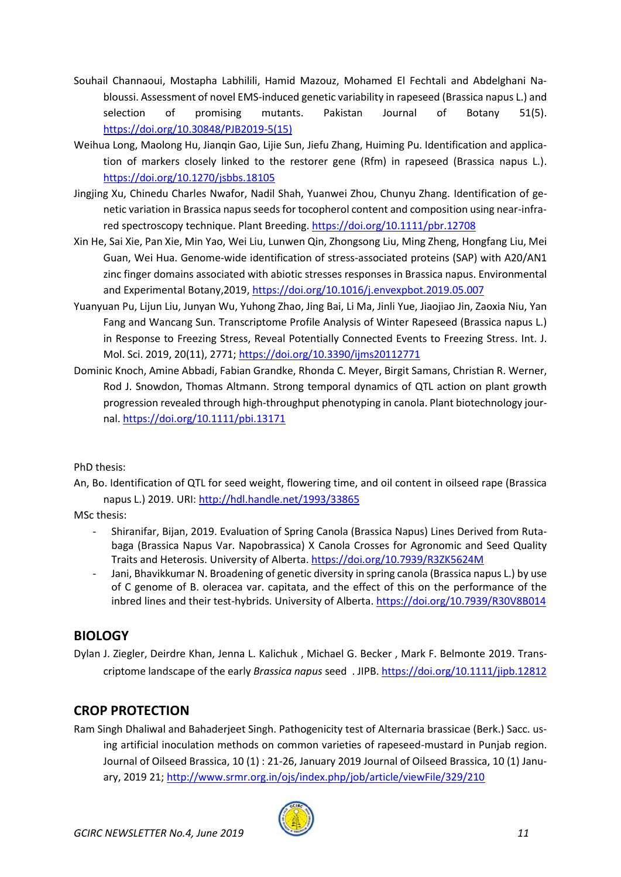- Souhail Channaoui, Mostapha Labhilili, Hamid Mazouz, Mohamed El Fechtali and Abdelghani Nabloussi. Assessment of novel EMS-induced genetic variability in rapeseed (Brassica napus L.) and selection of promising mutants. Pakistan Journal of Botany 51(5). [https://doi.org/10.30848/PJB2019-5\(15\)](https://doi.org/10.30848/PJB2019-5(15))
- Weihua Long, Maolong Hu, Jianqin Gao, Lijie Sun, Jiefu Zhang, Huiming Pu. Identification and application of markers closely linked to the restorer gene (Rfm) in rapeseed (Brassica napus L.). <https://doi.org/10.1270/jsbbs.18105>
- Jingjing Xu, Chinedu Charles Nwafor, Nadil Shah, Yuanwei Zhou, Chunyu Zhang. Identification of genetic variation in Brassica napus seeds for tocopherol content and composition using near-infrared spectroscopy technique. Plant Breeding.<https://doi.org/10.1111/pbr.12708>
- Xin He, Sai Xie, Pan Xie, Min Yao, Wei Liu, Lunwen Qin, Zhongsong Liu, Ming Zheng, Hongfang Liu, Mei Guan, Wei Hua. Genome-wide identification of stress-associated proteins (SAP) with A20/AN1 zinc finger domains associated with abiotic stresses responses in Brassica napus. Environmental and Experimental Botany,2019,<https://doi.org/10.1016/j.envexpbot.2019.05.007>
- Yuanyuan Pu, Lijun Liu, Junyan Wu, Yuhong Zhao, Jing Bai, Li Ma, Jinli Yue, Jiaojiao Jin, Zaoxia Niu, Yan Fang and Wancang Sun. Transcriptome Profile Analysis of Winter Rapeseed (Brassica napus L.) in Response to Freezing Stress, Reveal Potentially Connected Events to Freezing Stress. Int. J. Mol. Sci. 2019, 20(11), 2771;<https://doi.org/10.3390/ijms20112771>
- Dominic Knoch, Amine Abbadi, Fabian Grandke, Rhonda C. Meyer, Birgit Samans, Christian R. Werner, Rod J. Snowdon, Thomas Altmann. Strong temporal dynamics of QTL action on plant growth progression revealed through high-throughput phenotyping in canola. Plant biotechnology journal.<https://doi.org/10.1111/pbi.13171>

PhD thesis:

An, Bo. Identification of QTL for seed weight, flowering time, and oil content in oilseed rape (Brassica napus L.) 2019. URI[: http://hdl.handle.net/1993/33865](http://hdl.handle.net/1993/33865)

MSc thesis:

- Shiranifar, Bijan, 2019. Evaluation of Spring Canola (Brassica Napus) Lines Derived from Rutabaga (Brassica Napus Var. Napobrassica) X Canola Crosses for Agronomic and Seed Quality Traits and Heterosis. University of Alberta[. https://doi.org/10.7939/R3ZK5624M](https://doi.org/10.7939/R3ZK5624M)
- Jani, Bhavikkumar N. Broadening of genetic diversity in spring canola (Brassica napus L.) by use of C genome of B. oleracea var. capitata, and the effect of this on the performance of the inbred lines and their test-hybrids. University of Alberta.<https://doi.org/10.7939/R30V8B014>

### <span id="page-10-0"></span>**BIOLOGY**

Dylan J. Ziegler, Deirdre Khan, Jenna L. Kalichuk , Michael G. Becker , Mark F. Belmonte 2019. Transcriptome landscape of the early *Brassica napus* seed . JIPB.<https://doi.org/10.1111/jipb.12812>

## <span id="page-10-1"></span>**CROP PROTECTION**

Ram Singh Dhaliwal and Bahaderjeet Singh. Pathogenicity test of Alternaria brassicae (Berk.) Sacc. using artificial inoculation methods on common varieties of rapeseed-mustard in Punjab region. Journal of Oilseed Brassica, 10 (1) : 21-26, January 2019 Journal of Oilseed Brassica, 10 (1) January, 2019 21;<http://www.srmr.org.in/ojs/index.php/job/article/viewFile/329/210>

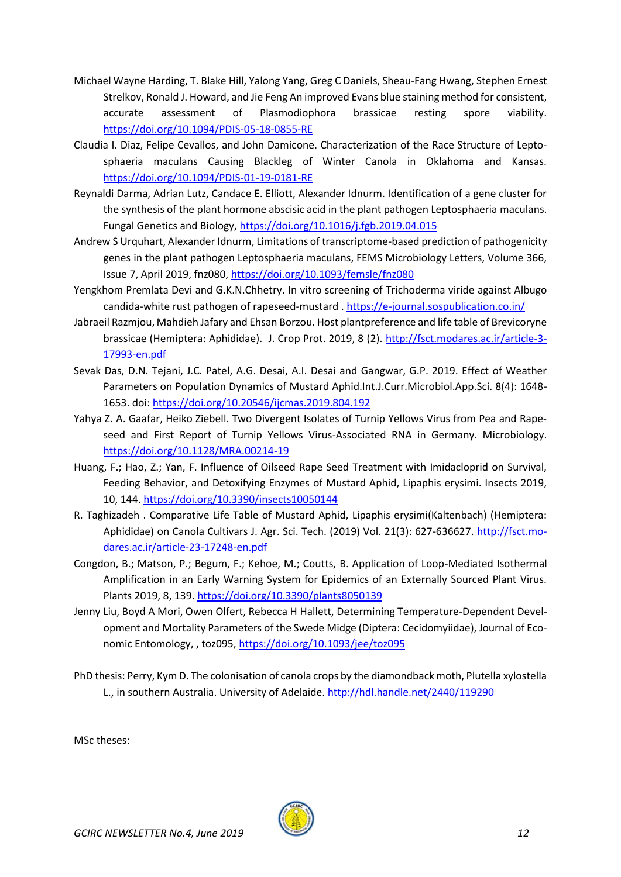- Michael Wayne Harding, T. Blake Hill, Yalong Yang, Greg C Daniels, Sheau-Fang Hwang, Stephen Ernest Strelkov, Ronald J. Howard, and Jie Feng An improved Evans blue staining method for consistent, accurate assessment of Plasmodiophora brassicae resting spore viability. <https://doi.org/10.1094/PDIS-05-18-0855-RE>
- Claudia I. Diaz, Felipe Cevallos, and John Damicone. Characterization of the Race Structure of Leptosphaeria maculans Causing Blackleg of Winter Canola in Oklahoma and Kansas. <https://doi.org/10.1094/PDIS-01-19-0181-RE>
- Reynaldi Darma, Adrian Lutz, Candace E. Elliott, Alexander Idnurm. Identification of a gene cluster for the synthesis of the plant hormone abscisic acid in the plant pathogen Leptosphaeria maculans. Fungal Genetics and Biology,<https://doi.org/10.1016/j.fgb.2019.04.015>
- Andrew S Urquhart, Alexander Idnurm, Limitations of transcriptome-based prediction of pathogenicity genes in the plant pathogen Leptosphaeria maculans, FEMS Microbiology Letters, Volume 366, Issue 7, April 2019, fnz080[, https://doi.org/10.1093/femsle/fnz080](https://doi.org/10.1093/femsle/fnz080)
- Yengkhom Premlata Devi and G.K.N.Chhetry. In vitro screening of Trichoderma viride against Albugo candida-white rust pathogen of rapeseed-mustard .<https://e-journal.sospublication.co.in/>
- Jabraeil Razmjou, Mahdieh Jafary and Ehsan Borzou. Host plantpreference and life table of Brevicoryne brassicae (Hemiptera: Aphididae). J. Crop Prot. 2019, 8 (2). [http://fsct.modares.ac.ir/article-3-](http://fsct.modares.ac.ir/article-3-17993-en.pdf) [17993-en.pdf](http://fsct.modares.ac.ir/article-3-17993-en.pdf)
- Sevak Das, D.N. Tejani, J.C. Patel, A.G. Desai, A.I. Desai and Gangwar, G.P. 2019. Effect of Weather Parameters on Population Dynamics of Mustard Aphid.Int.J.Curr.Microbiol.App.Sci. 8(4): 1648- 1653. doi:<https://doi.org/10.20546/ijcmas.2019.804.192>
- Yahya Z. A. Gaafar, Heiko Ziebell. Two Divergent Isolates of Turnip Yellows Virus from Pea and Rapeseed and First Report of Turnip Yellows Virus-Associated RNA in Germany. Microbiology. <https://doi.org/10.1128/MRA.00214-19>
- Huang, F.; Hao, Z.; Yan, F. Influence of Oilseed Rape Seed Treatment with Imidacloprid on Survival, Feeding Behavior, and Detoxifying Enzymes of Mustard Aphid, Lipaphis erysimi. Insects 2019, 10, 144[. https://doi.org/10.3390/insects10050144](https://doi.org/10.3390/insects10050144)
- R. Taghizadeh . Comparative Life Table of Mustard Aphid, Lipaphis erysimi(Kaltenbach) (Hemiptera: Aphididae) on Canola Cultivars J. Agr. Sci. Tech. (2019) Vol. 21(3): 627-636627. [http://fsct.mo](http://fsct.modares.ac.ir/article-23-17248-en.pdf)[dares.ac.ir/article-23-17248-en.pdf](http://fsct.modares.ac.ir/article-23-17248-en.pdf)
- Congdon, B.; Matson, P.; Begum, F.; Kehoe, M.; Coutts, B. Application of Loop-Mediated Isothermal Amplification in an Early Warning System for Epidemics of an Externally Sourced Plant Virus. Plants 2019, 8, 139.<https://doi.org/10.3390/plants8050139>
- Jenny Liu, Boyd A Mori, Owen Olfert, Rebecca H Hallett, Determining Temperature-Dependent Development and Mortality Parameters of the Swede Midge (Diptera: Cecidomyiidae), Journal of Economic Entomology, , toz095,<https://doi.org/10.1093/jee/toz095>
- PhD thesis: Perry, Kym D. The colonisation of canola crops by the diamondback moth, Plutella xylostella L., in southern Australia. University of Adelaide.<http://hdl.handle.net/2440/119290>

MSc theses:

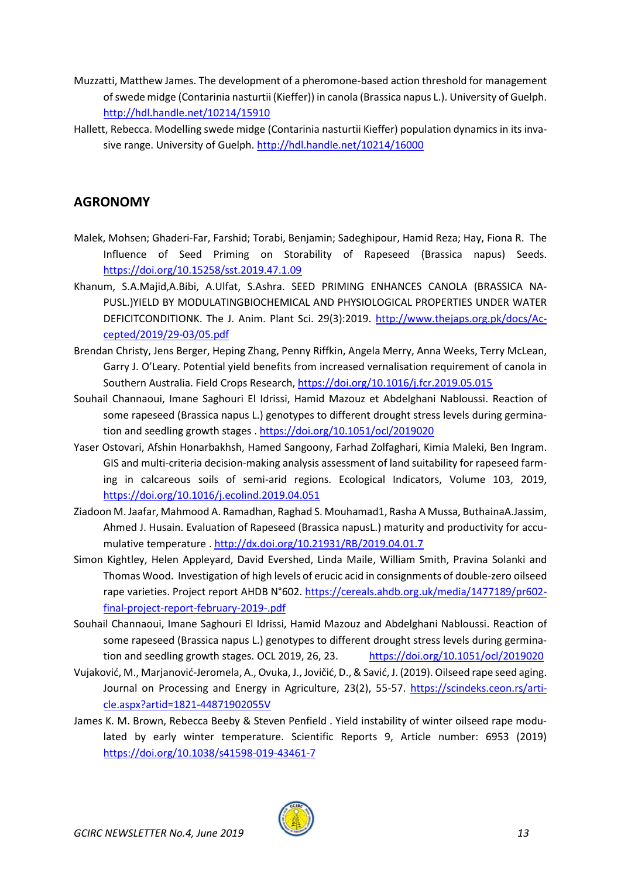- Muzzatti, Matthew James. The development of a pheromone-based action threshold for management of swede midge (Contarinia nasturtii (Kieffer)) in canola (Brassica napus L.). University of Guelph. <http://hdl.handle.net/10214/15910>
- Hallett, Rebecca. Modelling swede midge (Contarinia nasturtii Kieffer) population dynamics in its invasive range. University of Guelph.<http://hdl.handle.net/10214/16000>

### <span id="page-12-0"></span>**AGRONOMY**

- Malek, Mohsen; Ghaderi-Far, Farshid; Torabi, Benjamin; Sadeghipour, Hamid Reza; Hay, Fiona R. The Influence of Seed Priming on Storability of Rapeseed (Brassica napus) Seeds. <https://doi.org/10.15258/sst.2019.47.1.09>
- Khanum, S.A.Majid,A.Bibi, A.Ulfat, S.Ashra. SEED PRIMING ENHANCES CANOLA (BRASSICA NA-PUSL.)YIELD BY MODULATINGBIOCHEMICAL AND PHYSIOLOGICAL PROPERTIES UNDER WATER DEFICITCONDITIONK. The J. Anim. Plant Sci. 29(3):2019. [http://www.thejaps.org.pk/docs/Ac](http://www.thejaps.org.pk/docs/Accepted/2019/29-03/05.pdf)[cepted/2019/29-03/05.pdf](http://www.thejaps.org.pk/docs/Accepted/2019/29-03/05.pdf)
- Brendan Christy, Jens Berger, Heping Zhang, Penny Riffkin, Angela Merry, Anna Weeks, Terry McLean, Garry J. O'Leary. Potential yield benefits from increased vernalisation requirement of canola in Southern Australia. Field Crops Research[, https://doi.org/10.1016/j.fcr.2019.05.015](https://doi.org/10.1016/j.fcr.2019.05.015)
- Souhail Channaoui, Imane Saghouri El Idrissi, Hamid Mazouz et Abdelghani Nabloussi. Reaction of some rapeseed (Brassica napus L.) genotypes to different drought stress levels during germination and seedling growth stages .<https://doi.org/10.1051/ocl/2019020>
- Yaser Ostovari, Afshin Honarbakhsh, Hamed Sangoony, Farhad Zolfaghari, Kimia Maleki, Ben Ingram. GIS and multi-criteria decision-making analysis assessment of land suitability for rapeseed farming in calcareous soils of semi-arid regions. Ecological Indicators, Volume 103, 2019, <https://doi.org/10.1016/j.ecolind.2019.04.051>
- Ziadoon M. Jaafar, Mahmood A. Ramadhan, Raghad S. Mouhamad1, Rasha A Mussa, ButhainaA.Jassim, Ahmed J. Husain. Evaluation of Rapeseed (Brassica napusL.) maturity and productivity for accumulative temperature [. http://dx.doi.org/10.21931/RB/2019.04.01.7](http://dx.doi.org/10.21931/RB/2019.04.01.7)
- Simon Kightley, Helen Appleyard, David Evershed, Linda Maile, William Smith, Pravina Solanki and Thomas Wood. Investigation of high levels of erucic acid in consignments of double-zero oilseed rape varieties. Project report AHDB N°602. [https://cereals.ahdb.org.uk/media/1477189/pr602](https://cereals.ahdb.org.uk/media/1477189/pr602-final-project-report-february-2019-.pdf) [final-project-report-february-2019-.pdf](https://cereals.ahdb.org.uk/media/1477189/pr602-final-project-report-february-2019-.pdf)
- Souhail Channaoui, Imane Saghouri El Idrissi, Hamid Mazouz and Abdelghani Nabloussi. Reaction of some rapeseed (Brassica napus L.) genotypes to different drought stress levels during germination and seedling growth stages. OCL 2019, 26, 23. <https://doi.org/10.1051/ocl/2019020>
- Vujaković, M., Marjanović-Jeromela, A., Ovuka, J., Jovičić, D., & Savić, J. (2019). Oilseed rape seed aging. Journal on Processing and Energy in Agriculture, 23(2), 55-57. [https://scindeks.ceon.rs/arti](https://scindeks.ceon.rs/article.aspx?artid=1821-44871902055V)[cle.aspx?artid=1821-44871902055V](https://scindeks.ceon.rs/article.aspx?artid=1821-44871902055V)
- James K. M. Brown, Rebecca Beeby & Steven Penfield . Yield instability of winter oilseed rape modulated by early winter temperature. Scientific Reports 9, Article number: 6953 (2019) <https://doi.org/10.1038/s41598-019-43461-7>

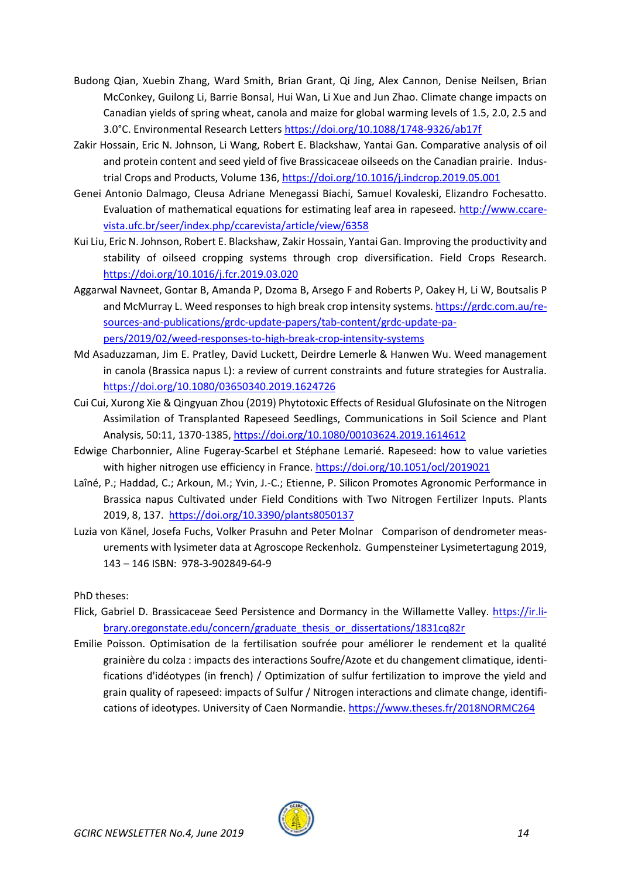- Budong Qian, Xuebin Zhang, Ward Smith, Brian Grant, Qi Jing, Alex Cannon, Denise Neilsen, Brian McConkey, Guilong Li, Barrie Bonsal, Hui Wan, Li Xue and Jun Zhao. Climate change impacts on Canadian yields of spring wheat, canola and maize for global warming levels of 1.5, 2.0, 2.5 and 3.0°C. Environmental Research Letters<https://doi.org/10.1088/1748-9326/ab17f>
- Zakir Hossain, Eric N. Johnson, Li Wang, Robert E. Blackshaw, Yantai Gan. Comparative analysis of oil and protein content and seed yield of five Brassicaceae oilseeds on the Canadian prairie. Industrial Crops and Products, Volume 136[, https://doi.org/10.1016/j.indcrop.2019.05.001](https://doi.org/10.1016/j.indcrop.2019.05.001)
- Genei Antonio Dalmago, Cleusa Adriane Menegassi Biachi, Samuel Kovaleski, Elizandro Fochesatto. Evaluation of mathematical equations for estimating leaf area in rapeseed. [http://www.ccare](http://www.ccarevista.ufc.br/seer/index.php/ccarevista/article/view/6358)[vista.ufc.br/seer/index.php/ccarevista/article/view/6358](http://www.ccarevista.ufc.br/seer/index.php/ccarevista/article/view/6358)
- Kui Liu, Eric N. Johnson, Robert E. Blackshaw, Zakir Hossain, Yantai Gan. Improving the productivity and stability of oilseed cropping systems through crop diversification. Field Crops Research. <https://doi.org/10.1016/j.fcr.2019.03.020>
- Aggarwal Navneet, Gontar B, Amanda P, Dzoma B, Arsego F and Roberts P, Oakey H, Li W, Boutsalis P and McMurray L. Weed responses to high break crop intensity systems[. https://grdc.com.au/re](https://grdc.com.au/resources-and-publications/grdc-update-papers/tab-content/grdc-update-papers/2019/02/weed-responses-to-high-break-crop-intensity-systems)[sources-and-publications/grdc-update-papers/tab-content/grdc-update-pa](https://grdc.com.au/resources-and-publications/grdc-update-papers/tab-content/grdc-update-papers/2019/02/weed-responses-to-high-break-crop-intensity-systems)[pers/2019/02/weed-responses-to-high-break-crop-intensity-systems](https://grdc.com.au/resources-and-publications/grdc-update-papers/tab-content/grdc-update-papers/2019/02/weed-responses-to-high-break-crop-intensity-systems)
- Md Asaduzzaman, Jim E. Pratley, David Luckett, Deirdre Lemerle & Hanwen Wu. Weed management in canola (Brassica napus L): a review of current constraints and future strategies for Australia. <https://doi.org/10.1080/03650340.2019.1624726>
- Cui Cui, Xurong Xie & Qingyuan Zhou (2019) Phytotoxic Effects of Residual Glufosinate on the Nitrogen Assimilation of Transplanted Rapeseed Seedlings, Communications in Soil Science and Plant Analysis, 50:11, 1370-1385,<https://doi.org/10.1080/00103624.2019.1614612>
- Edwige Charbonnier, Aline Fugeray-Scarbel et Stéphane Lemarié. Rapeseed: how to value varieties with higher nitrogen use efficiency in France[. https://doi.org/10.1051/ocl/2019021](https://doi.org/10.1051/ocl/2019021)
- Laîné, P.; Haddad, C.; Arkoun, M.; Yvin, J.-C.; Etienne, P. Silicon Promotes Agronomic Performance in Brassica napus Cultivated under Field Conditions with Two Nitrogen Fertilizer Inputs. Plants 2019, 8, 137. <https://doi.org/10.3390/plants8050137>
- Luzia von Känel, Josefa Fuchs, Volker Prasuhn and Peter Molnar Comparison of dendrometer measurements with lysimeter data at Agroscope Reckenholz. Gumpensteiner Lysimetertagung 2019, 143 – 146 ISBN: 978-3-902849-64-9

PhD theses:

- Flick, Gabriel D. Brassicaceae Seed Persistence and Dormancy in the Willamette Valley. [https://ir.li](https://ir.library.oregonstate.edu/concern/graduate_thesis_or_dissertations/1831cq82r)[brary.oregonstate.edu/concern/graduate\\_thesis\\_or\\_dissertations/1831cq82r](https://ir.library.oregonstate.edu/concern/graduate_thesis_or_dissertations/1831cq82r)
- Emilie Poisson. Optimisation de la fertilisation soufrée pour améliorer le rendement et la qualité grainière du colza : impacts des interactions Soufre/Azote et du changement climatique, identifications d'idéotypes (in french) / Optimization of sulfur fertilization to improve the yield and grain quality of rapeseed: impacts of Sulfur / Nitrogen interactions and climate change, identifications of ideotypes. University of Caen Normandie.<https://www.theses.fr/2018NORMC264>

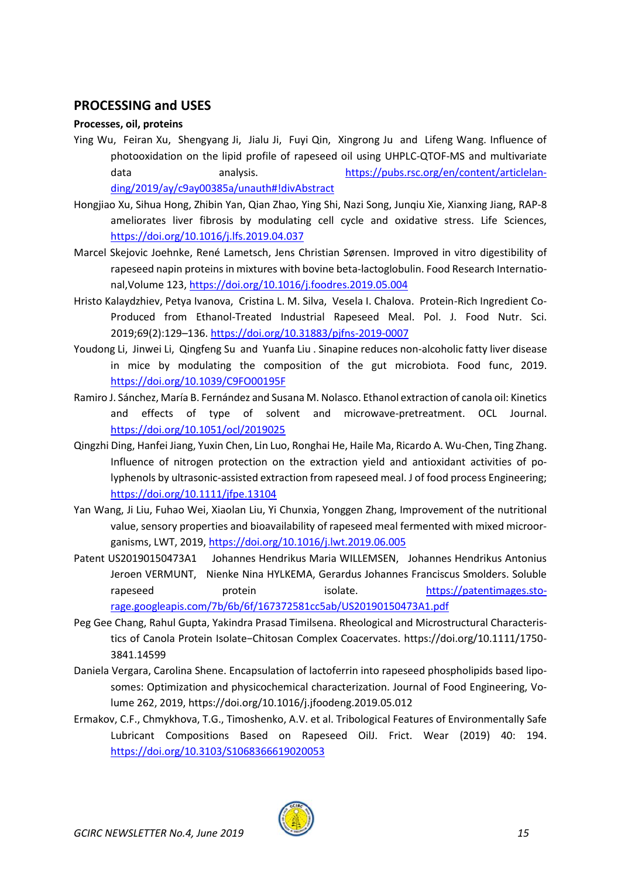#### <span id="page-14-0"></span>**PROCESSING and USES**

#### **Processes, oil, proteins**

- Ying Wu, Feiran Xu, Shengyang Ji, Jialu Ji, Fuyi Qin, Xingrong Ju and Lifeng Wang. Influence of photooxidation on the lipid profile of rapeseed oil using UHPLC-QTOF-MS and multivariate data analysis. [https://pubs.rsc.org/en/content/articlelan](https://pubs.rsc.org/en/content/articlelanding/2019/ay/c9ay00385a/unauth#!divAbstract)[ding/2019/ay/c9ay00385a/unauth#!divAbstract](https://pubs.rsc.org/en/content/articlelanding/2019/ay/c9ay00385a/unauth#!divAbstract)
- Hongjiao Xu, Sihua Hong, Zhibin Yan, Qian Zhao, Ying Shi, Nazi Song, Junqiu Xie, Xianxing Jiang, RAP-8 ameliorates liver fibrosis by modulating cell cycle and oxidative stress. Life Sciences, <https://doi.org/10.1016/j.lfs.2019.04.037>
- Marcel Skejovic Joehnke, René Lametsch, Jens Christian Sørensen. Improved in vitro digestibility of rapeseed napin proteins in mixtures with bovine beta-lactoglobulin. Food Research International,Volume 123[, https://doi.org/10.1016/j.foodres.2019.05.004](https://doi.org/10.1016/j.foodres.2019.05.004)
- Hristo Kalaydzhiev, Petya Ivanova, Cristina L. M. Silva, Vesela I. Chalova. Protein-Rich Ingredient Co-Produced from Ethanol-Treated Industrial Rapeseed Meal. Pol. J. Food Nutr. Sci. 2019;69(2):129–136.<https://doi.org/10.31883/pjfns-2019-0007>
- Youdong Li, Jinwei Li, Qingfeng Su and Yuanfa Liu . Sinapine reduces non-alcoholic fatty liver disease in mice by modulating the composition of the gut microbiota. Food func, 2019. <https://doi.org/10.1039/C9FO00195F>
- Ramiro J. Sánchez, María B. Fernández and Susana M. Nolasco. Ethanol extraction of canola oil: Kinetics and effects of type of solvent and microwave-pretreatment. OCL Journal. <https://doi.org/10.1051/ocl/2019025>
- Qingzhi Ding, Hanfei Jiang, Yuxin Chen, Lin Luo, Ronghai He, Haile Ma, Ricardo A. Wu-Chen, Ting Zhang. Influence of nitrogen protection on the extraction yield and antioxidant activities of polyphenols by ultrasonic-assisted extraction from rapeseed meal. J of food process Engineering; <https://doi.org/10.1111/jfpe.13104>
- Yan Wang, Ji Liu, Fuhao Wei, Xiaolan Liu, Yi Chunxia, Yonggen Zhang, Improvement of the nutritional value, sensory properties and bioavailability of rapeseed meal fermented with mixed microorganisms, LWT, 2019,<https://doi.org/10.1016/j.lwt.2019.06.005>
- Patent US20190150473A1 Johannes Hendrikus Maria WILLEMSEN, Johannes Hendrikus Antonius Jeroen VERMUNT, Nienke Nina HYLKEMA, Gerardus Johannes Franciscus Smolders. Soluble rapeseed protein isolate. [https://patentimages.sto](https://patentimages.storage.googleapis.com/7b/6b/6f/167372581cc5ab/US20190150473A1.pdf)[rage.googleapis.com/7b/6b/6f/167372581cc5ab/US20190150473A1.pdf](https://patentimages.storage.googleapis.com/7b/6b/6f/167372581cc5ab/US20190150473A1.pdf)
- Peg Gee Chang, Rahul Gupta, Yakindra Prasad Timilsena. Rheological and Microstructural Characteristics of Canola Protein Isolate−Chitosan Complex Coacervates. https://doi.org/10.1111/1750- 3841.14599
- Daniela Vergara, Carolina Shene. Encapsulation of lactoferrin into rapeseed phospholipids based liposomes: Optimization and physicochemical characterization. Journal of Food Engineering, Volume 262, 2019, https://doi.org/10.1016/j.jfoodeng.2019.05.012
- Ermakov, C.F., Chmykhova, T.G., Timoshenko, A.V. et al. Tribological Features of Environmentally Safe Lubricant Compositions Based on Rapeseed OilJ. Frict. Wear (2019) 40: 194. <https://doi.org/10.3103/S1068366619020053>

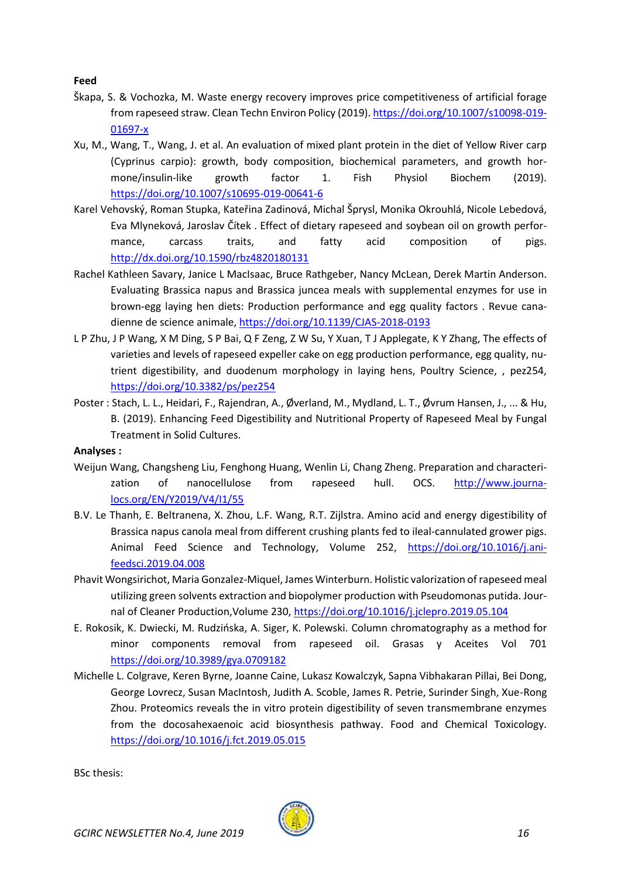**Feed**

- Škapa, S. & Vochozka, M. Waste energy recovery improves price competitiveness of artificial forage from rapeseed straw. Clean Techn Environ Policy (2019)[. https://doi.org/10.1007/s10098-019-](https://doi.org/10.1007/s10098-019-01697-x) [01697-x](https://doi.org/10.1007/s10098-019-01697-x)
- Xu, M., Wang, T., Wang, J. et al. An evaluation of mixed plant protein in the diet of Yellow River carp (Cyprinus carpio): growth, body composition, biochemical parameters, and growth hormone/insulin-like growth factor 1. Fish Physiol Biochem (2019). <https://doi.org/10.1007/s10695-019-00641-6>
- Karel Vehovský, Roman Stupka, Kateřina Zadinová, Michal Šprysl, Monika Okrouhlá, Nicole Lebedová, Eva Mlyneková, Jaroslav Čítek . Effect of dietary rapeseed and soybean oil on growth performance, carcass traits, and fatty acid composition of pigs. <http://dx.doi.org/10.1590/rbz4820180131>
- Rachel Kathleen Savary, Janice L MacIsaac, Bruce Rathgeber, Nancy McLean, Derek Martin Anderson. Evaluating Brassica napus and Brassica juncea meals with supplemental enzymes for use in brown-egg laying hen diets: Production performance and egg quality factors . Revue canadienne de science animale[, https://doi.org/10.1139/CJAS-2018-0193](https://doi.org/10.1139/CJAS-2018-0193)
- L P Zhu, J P Wang, X M Ding, S P Bai, Q F Zeng, Z W Su, Y Xuan, T J Applegate, K Y Zhang, The effects of varieties and levels of rapeseed expeller cake on egg production performance, egg quality, nutrient digestibility, and duodenum morphology in laying hens, Poultry Science, , pez254, <https://doi.org/10.3382/ps/pez254>
- Poster : Stach, L. L., Heidari, F., Rajendran, A., Øverland, M., Mydland, L. T., Øvrum Hansen, J., ... & Hu, B. (2019). Enhancing Feed Digestibility and Nutritional Property of Rapeseed Meal by Fungal Treatment in Solid Cultures.

#### **Analyses :**

- Weijun Wang, Changsheng Liu, Fenghong Huang, Wenlin Li, Chang Zheng. Preparation and characterization of nanocellulose from rapeseed hull. OCS. [http://www.journa](http://www.journalocs.org/EN/Y2019/V4/I1/55)[locs.org/EN/Y2019/V4/I1/55](http://www.journalocs.org/EN/Y2019/V4/I1/55)
- B.V. Le Thanh, E. Beltranena, X. Zhou, L.F. Wang, R.T. Zijlstra. Amino acid and energy digestibility of Brassica napus canola meal from different crushing plants fed to ileal-cannulated grower pigs. Animal Feed Science and Technology, Volume 252, [https://doi.org/10.1016/j.ani](https://doi.org/10.1016/j.anifeedsci.2019.04.008)[feedsci.2019.04.008](https://doi.org/10.1016/j.anifeedsci.2019.04.008)
- Phavit Wongsirichot, Maria Gonzalez-Miquel, James Winterburn. Holistic valorization of rapeseed meal utilizing green solvents extraction and biopolymer production with Pseudomonas putida. Journal of Cleaner Production,Volume 230, <https://doi.org/10.1016/j.jclepro.2019.05.104>
- E. Rokosik, K. Dwiecki, M. Rudzińska, A. Siger, K. Polewski. Column chromatography as a method for minor components removal from rapeseed oil. Grasas y Aceites Vol 701 <https://doi.org/10.3989/gya.0709182>
- Michelle L. Colgrave, Keren Byrne, Joanne Caine, Lukasz Kowalczyk, Sapna Vibhakaran Pillai, Bei Dong, George Lovrecz, Susan MacIntosh, Judith A. Scoble, James R. Petrie, Surinder Singh, Xue-Rong Zhou. Proteomics reveals the in vitro protein digestibility of seven transmembrane enzymes from the docosahexaenoic acid biosynthesis pathway. Food and Chemical Toxicology. <https://doi.org/10.1016/j.fct.2019.05.015>

BSc thesis:

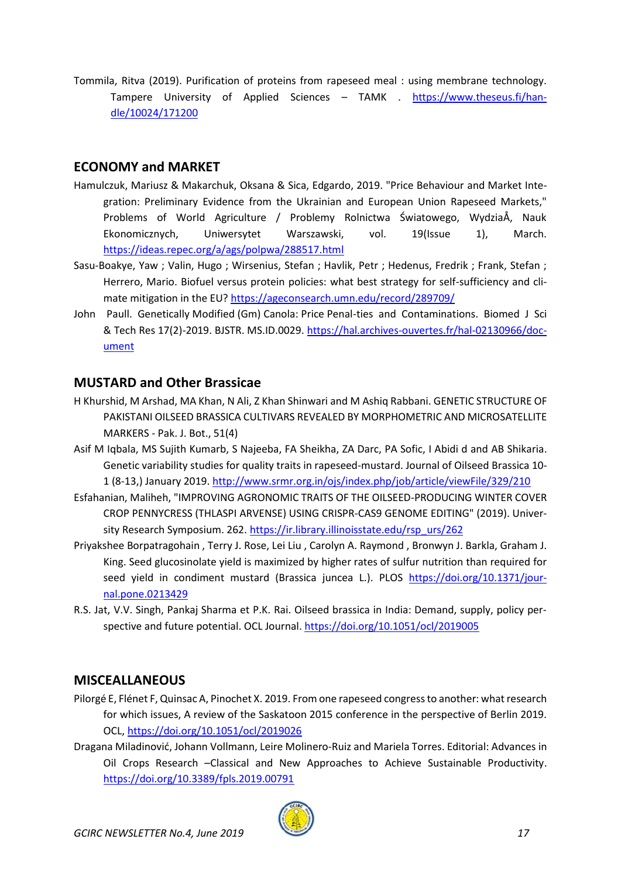Tommila, Ritva (2019). Purification of proteins from rapeseed meal : using membrane technology. Tampere University of Applied Sciences - TAMK . [https://www.theseus.fi/han](https://www.theseus.fi/handle/10024/171200)[dle/10024/171200](https://www.theseus.fi/handle/10024/171200)

#### <span id="page-16-0"></span>**ECONOMY and MARKET**

- Hamulczuk, Mariusz & Makarchuk, Oksana & Sica, Edgardo, 2019. "Price Behaviour and Market Integration: Preliminary Evidence from the Ukrainian and European Union Rapeseed Markets," Problems of World Agriculture / Problemy Rolnictwa Światowego, WydziaÅ, Nauk Ekonomicznych, Uniwersytet Warszawski, vol. 19(Issue 1), March. <https://ideas.repec.org/a/ags/polpwa/288517.html>
- Sasu-Boakye, Yaw ; Valin, Hugo ; Wirsenius, Stefan ; Havlik, Petr ; Hedenus, Fredrik ; Frank, Stefan ; Herrero, Mario. Biofuel versus protein policies: what best strategy for self-sufficiency and climate mitigation in the EU? <https://ageconsearch.umn.edu/record/289709/>
- John Paull. Genetically Modified (Gm) Canola: Price Penal-ties and Contaminations. Biomed J Sci & Tech Res 17(2)-2019. BJSTR. MS.ID.0029. [https://hal.archives-ouvertes.fr/hal-02130966/doc](https://hal.archives-ouvertes.fr/hal-02130966/document)[ument](https://hal.archives-ouvertes.fr/hal-02130966/document)

#### <span id="page-16-1"></span>**MUSTARD and Other Brassicae**

- H Khurshid, M Arshad, MA Khan, N Ali, Z Khan Shinwari and M Ashiq Rabbani. GENETIC STRUCTURE OF PAKISTANI OILSEED BRASSICA CULTIVARS REVEALED BY MORPHOMETRIC AND MICROSATELLITE MARKERS - Pak. J. Bot., 51(4)
- Asif M Iqbala, MS Sujith Kumarb, S Najeeba, FA Sheikha, ZA Darc, PA Sofic, I Abidi d and AB Shikaria. Genetic variability studies for quality traits in rapeseed-mustard. Journal of Oilseed Brassica 10- 1 (8-13,) January 2019[. http://www.srmr.org.in/ojs/index.php/job/article/viewFile/329/210](http://www.srmr.org.in/ojs/index.php/job/article/viewFile/329/210)
- Esfahanian, Maliheh, "IMPROVING AGRONOMIC TRAITS OF THE OILSEED-PRODUCING WINTER COVER CROP PENNYCRESS (THLASPI ARVENSE) USING CRISPR-CAS9 GENOME EDITING" (2019). University Research Symposium. 262. [https://ir.library.illinoisstate.edu/rsp\\_urs/262](https://ir.library.illinoisstate.edu/rsp_urs/262)
- Priyakshee Borpatragohain , Terry J. Rose, Lei Liu , Carolyn A. Raymond , Bronwyn J. Barkla, Graham J. King. Seed glucosinolate yield is maximized by higher rates of sulfur nutrition than required for seed yield in condiment mustard (Brassica juncea L.). PLOS [https://doi.org/10.1371/jour](https://doi.org/10.1371/journal.pone.0213429)[nal.pone.0213429](https://doi.org/10.1371/journal.pone.0213429)
- R.S. Jat, V.V. Singh, Pankaj Sharma et P.K. Rai. Oilseed brassica in India: Demand, supply, policy perspective and future potential. OCL Journal.<https://doi.org/10.1051/ocl/2019005>

#### <span id="page-16-2"></span>**MISCEALLANEOUS**

- Pilorgé E, Flénet F, Quinsac A, Pinochet X. 2019. From one rapeseed congress to another: what research for which issues, A review of the Saskatoon 2015 conference in the perspective of Berlin 2019. OCL,<https://doi.org/10.1051/ocl/2019026>
- Dragana Miladinović, Johann Vollmann, Leire Molinero-Ruiz and Mariela Torres. Editorial: Advances in Oil Crops Research –Classical and New Approaches to Achieve Sustainable Productivity. <https://doi.org/10.3389/fpls.2019.00791>

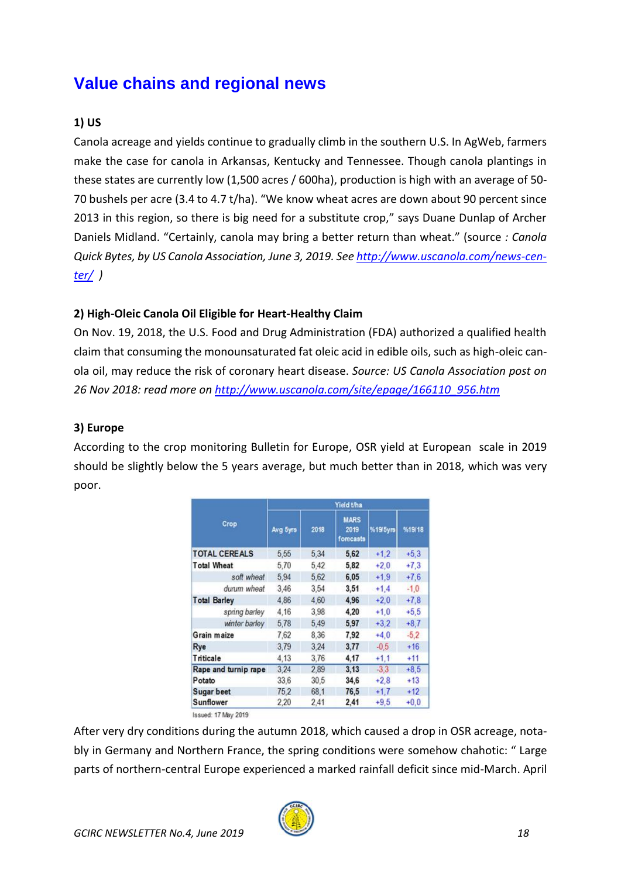# <span id="page-17-0"></span>**Value chains and regional news**

### **1) US**

Canola acreage and yields continue to gradually climb in the southern U.S. In AgWeb, farmers make the case for canola in Arkansas, Kentucky and Tennessee. Though canola plantings in these states are currently low (1,500 acres / 600ha), production is high with an average of 50- 70 bushels per acre (3.4 to 4.7 t/ha). "We know wheat acres are down about 90 percent since 2013 in this region, so there is big need for a substitute crop," says Duane Dunlap of Archer Daniels Midland. "Certainly, canola may bring a better return than wheat." (source *: Canola Quick Bytes, by US Canola Association, June 3, 2019. See [http://www.uscanola.com/news-cen](http://www.uscanola.com/news-center/)[ter/](http://www.uscanola.com/news-center/) )*

#### **2) High-Oleic Canola Oil Eligible for Heart-Healthy Claim**

On Nov. 19, 2018, the U.S. Food and Drug Administration (FDA) authorized a qualified health claim that consuming the monounsaturated fat oleic acid in edible oils, such as high-oleic canola oil, may reduce the risk of coronary heart disease. *Source: US Canola Association post on 26 Nov 2018: read more on [http://www.uscanola.com/site/epage/166110\\_956.htm](http://www.uscanola.com/site/epage/166110_956.htm)*

#### **3) Europe**

According to the crop monitoring Bulletin for Europe, OSR yield at European scale in 2019 should be slightly below the 5 years average, but much better than in 2018, which was very poor.

| Crop                 | Yield t/ha |      |                                  |          |        |  |
|----------------------|------------|------|----------------------------------|----------|--------|--|
|                      | Avg 5yrs   | 2018 | <b>MARS</b><br>2019<br>forecasts | %19'5yrs | %19/18 |  |
| <b>TOTAL CEREALS</b> | 5.55       | 5.34 | 5,62                             | $+1.2$   | $+5.3$ |  |
| <b>Total Wheat</b>   | 5.70       | 5.42 | 5,82                             | $+2.0$   | $+7.3$ |  |
| soft wheat           | 5,94       | 5.62 | 6,05                             | $+1.9$   | $+76$  |  |
| durum wheat          | 3.46       | 3.54 | 3.51                             | $+1.4$   | $-1.0$ |  |
| <b>Total Barley</b>  | 4.86       | 4.60 | 4.96                             | $+2.0$   | $+7.8$ |  |
| spring barley        | 4.16       | 3.98 | 4.20                             | $+1.0$   | $+5.5$ |  |
| winter barley        | 5,78       | 5.49 | 5.97                             | $+3.2$   | $+8.7$ |  |
| Grain maize          | 7.62       | 8.36 | 7.92                             | $+4.0$   | $-5.2$ |  |
| Rye                  | 3.79       | 3.24 | 3,77                             | $-0.5$   | $+16$  |  |
| <b>Triticale</b>     | 4.13       | 3.76 | 4,17                             | $+1.1$   | $+11$  |  |
| Rape and turnip rape | 3.24       | 2.89 | 3.13                             | $-33$    | $+8.5$ |  |
| Potato               | 33.6       | 30,5 | 34,6                             | $+2.8$   | $+13$  |  |
| <b>Sugar beet</b>    | 75.2       | 68.1 | 76.5                             | $+1.7$   | $+12$  |  |
| <b>Sunflower</b>     | 2,20       | 2,41 | 2,41                             | $+9.5$   | $+0.0$ |  |

After very dry conditions during the autumn 2018, which caused a drop in OSR acreage, notably in Germany and Northern France, the spring conditions were somehow chahotic: " Large parts of northern-central Europe experienced a marked rainfall deficit since mid-March. April

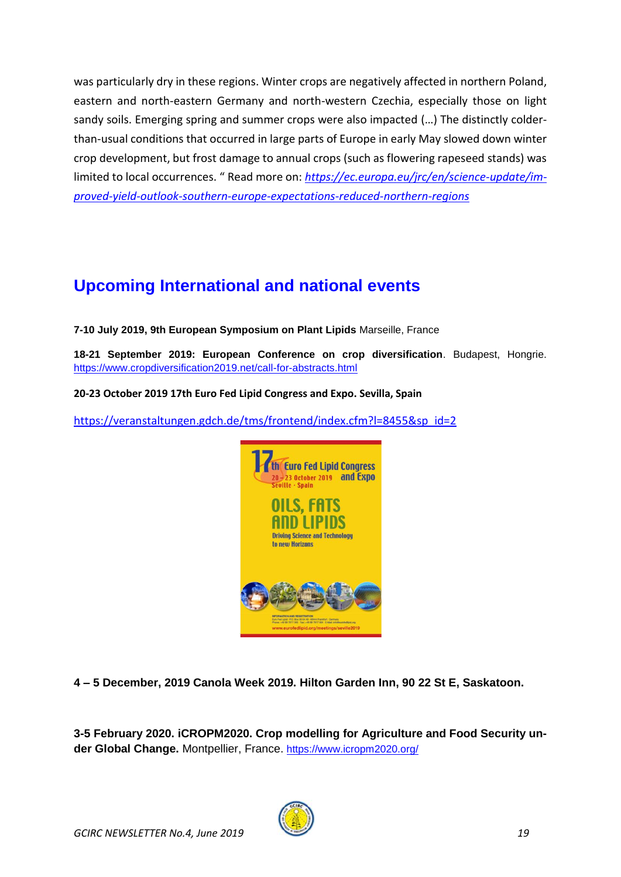was particularly dry in these regions. Winter crops are negatively affected in northern Poland, eastern and north-eastern Germany and north-western Czechia, especially those on light sandy soils. Emerging spring and summer crops were also impacted (…) The distinctly colderthan-usual conditions that occurred in large parts of Europe in early May slowed down winter crop development, but frost damage to annual crops (such as flowering rapeseed stands) was limited to local occurrences. " Read more on: *[https://ec.europa.eu/jrc/en/science-update/im](https://ec.europa.eu/jrc/en/science-update/improved-yield-outlook-southern-europe-expectations-reduced-northern-regions)[proved-yield-outlook-southern-europe-expectations-reduced-northern-regions](https://ec.europa.eu/jrc/en/science-update/improved-yield-outlook-southern-europe-expectations-reduced-northern-regions)* 

# <span id="page-18-0"></span>**Upcoming International and national events**

**7-10 July 2019, 9th European Symposium on Plant Lipids** Marseille, France

**18-21 September 2019: European Conference on crop diversification**. Budapest, Hongrie. <https://www.cropdiversification2019.net/call-for-abstracts.html>

**20-23 October 2019 17th Euro Fed Lipid Congress and Expo. Sevilla, Spain**

[https://veranstaltungen.gdch.de/tms/frontend/index.cfm?l=8455&sp\\_id=2](https://veranstaltungen.gdch.de/tms/frontend/index.cfm?l=8455&sp_id=2)



**4 – 5 December, 2019 Canola Week 2019. Hilton Garden Inn, 90 22 St E, Saskatoon.**

**3-5 February 2020. iCROPM2020. Crop modelling for Agriculture and Food Security un**der Global Change. Montpellier, France. <https://www.icropm2020.org/>